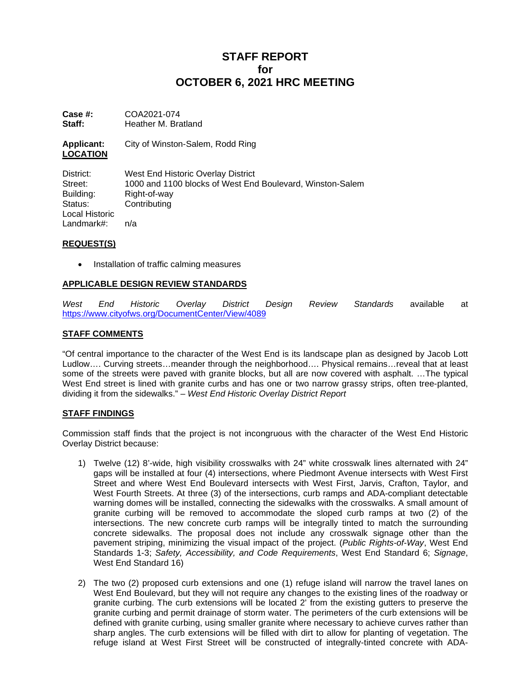# **STAFF REPORT for OCTOBER 6, 2021 HRC MEETING**

**Case #:** COA2021-074<br>**Staff:** Heather M. Bra **Staff:** Heather M. Bratland

**Applicant:** City of Winston-Salem, Rodd Ring **LOCATION**

District: West End Historic Overlay District Street: 1000 and 1100 blocks of West End Boulevard, Winston-Salem Building: Right-of-way<br>Status: Contributing Contributing Local Historic Landmark#: n/a

## **REQUEST(S)**

• Installation of traffic calming measures

## **APPLICABLE DESIGN REVIEW STANDARDS**

*West End Historic Overlay District Design Review Standards* available at <https://www.cityofws.org/DocumentCenter/View/4089>

## **STAFF COMMENTS**

"Of central importance to the character of the West End is its landscape plan as designed by Jacob Lott Ludlow…. Curving streets…meander through the neighborhood…. Physical remains…reveal that at least some of the streets were paved with granite blocks, but all are now covered with asphalt. …The typical West End street is lined with granite curbs and has one or two narrow grassy strips, often tree-planted, dividing it from the sidewalks." – *West End Historic Overlay District Report*

#### **STAFF FINDINGS**

Commission staff finds that the project is not incongruous with the character of the West End Historic Overlay District because:

- 1) Twelve (12) 8'-wide, high visibility crosswalks with 24" white crosswalk lines alternated with 24" gaps will be installed at four (4) intersections, where Piedmont Avenue intersects with West First Street and where West End Boulevard intersects with West First, Jarvis, Crafton, Taylor, and West Fourth Streets. At three (3) of the intersections, curb ramps and ADA-compliant detectable warning domes will be installed, connecting the sidewalks with the crosswalks. A small amount of granite curbing will be removed to accommodate the sloped curb ramps at two (2) of the intersections. The new concrete curb ramps will be integrally tinted to match the surrounding concrete sidewalks. The proposal does not include any crosswalk signage other than the pavement striping, minimizing the visual impact of the project. (*Public Rights-of-Way*, West End Standards 1-3; *Safety, Accessibility, and Code Requirements*, West End Standard 6; *Signage*, West End Standard 16)
- 2) The two (2) proposed curb extensions and one (1) refuge island will narrow the travel lanes on West End Boulevard, but they will not require any changes to the existing lines of the roadway or granite curbing. The curb extensions will be located 2' from the existing gutters to preserve the granite curbing and permit drainage of storm water. The perimeters of the curb extensions will be defined with granite curbing, using smaller granite where necessary to achieve curves rather than sharp angles. The curb extensions will be filled with dirt to allow for planting of vegetation. The refuge island at West First Street will be constructed of integrally-tinted concrete with ADA-